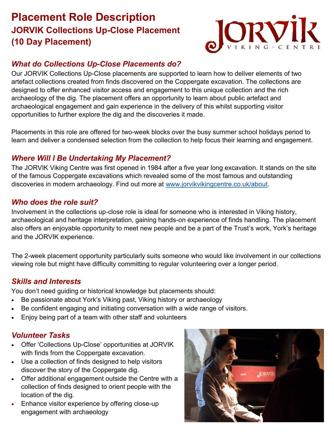# **Placement Role Description JORVIK Collections Up-Close Placement (10 Day Placement)**



# *What do Collections Up-Close Placements do?*

Our JORVIK Collections Up-Close placements are supported to learn how to deliver elements of two artefact collections created from finds discovered on the Coppergate excavation. The collections are designed to offer enhanced visitor access and engagement to this unique collection and the rich archaeology of the dig. The placement offers an opportunity to learn about public artefact and archaeological engagement and gain experience in the delivery of this whilst supporting visitor opportunities to further explore the dig and the discoveries it made.

Placements in this role are offered for two-week blocks over the busy summer school holidays period to learn and deliver a condensed selection from the collection to help focus their learning and engagement.

# *Where Will I Be Undertaking My Placement?*

The JORVIK Viking Centre was first opened in 1984 after a five year long excavation. It stands on the site of the famous Coppergate excavations which revealed some of the most famous and outstanding discoveries in modern archaeology. Find out more at [www.jorvikvikingcentre.co.uk/about.](https://www.jorvikvikingcentre.co.uk/about/)

# *Who does the role suit?*

Involvement in the collections up-close role is ideal for someone who is interested in Viking history, archaeological and heritage interpretation, gaining hands-on experience of finds handling. The placement also offers an enjoyable opportunity to meet new people and be a part of the Trust's work, York's heritage and the JORVIK experience.

The 2-week placement opportunity particularly suits someone who would like involvement in our collections viewing role but might have difficulty committing to regular volunteering over a longer period.

# *Skills and Interests*

You don't need guiding or historical knowledge but placements should:

- Be passionate about York's Viking past, Viking history or archaeology
- Be confident engaging and initiating conversation with a wide range of visitors.
- Enjoy being part of a team with other staff and volunteers

# *Volunteer Tasks*

- Offer 'Collections Up-Close' opportunities at JORVIK with finds from the Coppergate excavation.
- Use a collection of finds designed to help visitors discover the story of the Coppergate dig.
- Offer additional engagement outside the Centre with a collection of finds designed to orient people with the location of the dig.
- Enhance visitor experience by offering close-up engagement with archaeology